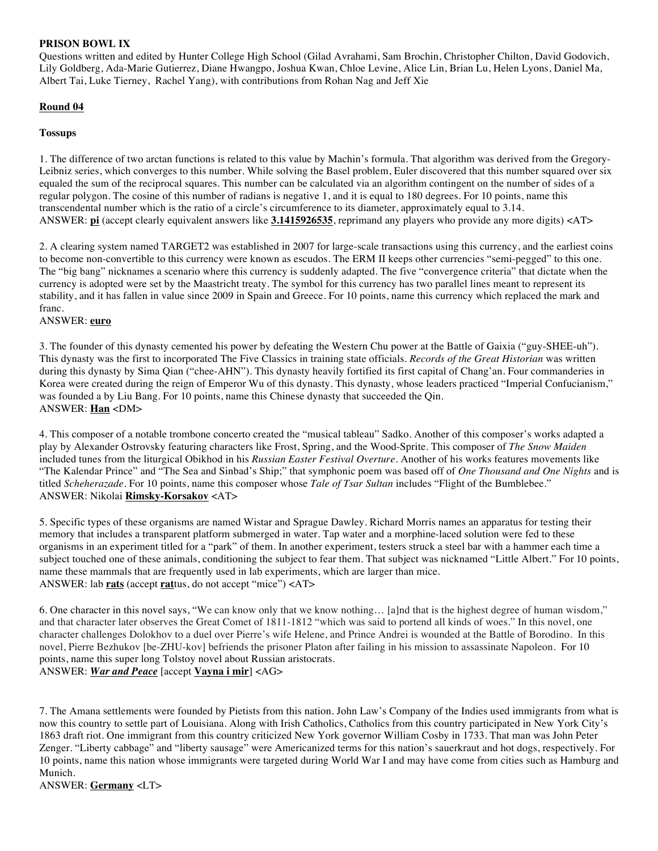## **PRISON BOWL IX**

Questions written and edited by Hunter College High School (Gilad Avrahami, Sam Brochin, Christopher Chilton, David Godovich, Lily Goldberg, Ada-Marie Gutierrez, Diane Hwangpo, Joshua Kwan, Chloe Levine, Alice Lin, Brian Lu, Helen Lyons, Daniel Ma, Albert Tai, Luke Tierney, Rachel Yang), with contributions from Rohan Nag and Jeff Xie

# **Round 04**

## **Tossups**

1. The difference of two arctan functions is related to this value by Machin's formula. That algorithm was derived from the Gregory-Leibniz series, which converges to this number. While solving the Basel problem, Euler discovered that this number squared over six equaled the sum of the reciprocal squares. This number can be calculated via an algorithm contingent on the number of sides of a regular polygon. The cosine of this number of radians is negative 1, and it is equal to 180 degrees. For 10 points, name this transcendental number which is the ratio of a circle's circumference to its diameter, approximately equal to 3.14. ANSWER: **pi** (accept clearly equivalent answers like **3.1415926535**, reprimand any players who provide any more digits) <AT>

2. A clearing system named TARGET2 was established in 2007 for large-scale transactions using this currency, and the earliest coins to become non-convertible to this currency were known as escudos. The ERM II keeps other currencies "semi-pegged" to this one. The "big bang" nicknames a scenario where this currency is suddenly adapted. The five "convergence criteria" that dictate when the currency is adopted were set by the Maastricht treaty. The symbol for this currency has two parallel lines meant to represent its stability, and it has fallen in value since 2009 in Spain and Greece. For 10 points, name this currency which replaced the mark and franc.

### ANSWER: **euro**

3. The founder of this dynasty cemented his power by defeating the Western Chu power at the Battle of Gaixia ("guy-SHEE-uh"). This dynasty was the first to incorporated The Five Classics in training state officials. *Records of the Great Historian* was written during this dynasty by Sima Qian ("chee-AHN"). This dynasty heavily fortified its first capital of Chang'an. Four commanderies in Korea were created during the reign of Emperor Wu of this dynasty. This dynasty, whose leaders practiced "Imperial Confucianism," was founded a by Liu Bang. For 10 points, name this Chinese dynasty that succeeded the Qin. ANSWER: **Han** <DM>

4. This composer of a notable trombone concerto created the "musical tableau" Sadko. Another of this composer's works adapted a play by Alexander Ostrovsky featuring characters like Frost, Spring, and the Wood-Sprite. This composer of *The Snow Maiden* included tunes from the liturgical Obikhod in his *Russian Easter Festival Overture*. Another of his works features movements like "The Kalendar Prince" and "The Sea and Sinbad's Ship;" that symphonic poem was based off of *One Thousand and One Nights* and is titled *Scheherazade*. For 10 points, name this composer whose *Tale of Tsar Sultan* includes "Flight of the Bumblebee." ANSWER: Nikolai **Rimsky-Korsakov** <AT>

5. Specific types of these organisms are named Wistar and Sprague Dawley. Richard Morris names an apparatus for testing their memory that includes a transparent platform submerged in water. Tap water and a morphine-laced solution were fed to these organisms in an experiment titled for a "park" of them. In another experiment, testers struck a steel bar with a hammer each time a subject touched one of these animals, conditioning the subject to fear them. That subject was nicknamed "Little Albert." For 10 points, name these mammals that are frequently used in lab experiments, which are larger than mice. ANSWER: lab **rats** (accept **rat**tus, do not accept "mice") <AT>

6. One character in this novel says, "We can know only that we know nothing… [a]nd that is the highest degree of human wisdom," and that character later observes the Great Comet of 1811-1812 "which was said to portend all kinds of woes." In this novel, one character challenges Dolokhov to a duel over Pierre's wife Helene, and Prince Andrei is wounded at the Battle of Borodino. In this novel, Pierre Bezhukov [be-ZHU-kov] befriends the prisoner Platon after failing in his mission to assassinate Napoleon. For 10 points, name this super long Tolstoy novel about Russian aristocrats. ANSWER: *War and Peace* [accept **Vayna i mir**] <AG>

7. The Amana settlements were founded by Pietists from this nation. John Law's Company of the Indies used immigrants from what is now this country to settle part of Louisiana. Along with Irish Catholics, Catholics from this country participated in New York City's 1863 draft riot. One immigrant from this country criticized New York governor William Cosby in 1733. That man was John Peter Zenger. "Liberty cabbage" and "liberty sausage" were Americanized terms for this nation's sauerkraut and hot dogs, respectively. For 10 points, name this nation whose immigrants were targeted during World War I and may have come from cities such as Hamburg and Munich.

ANSWER: **Germany** <LT>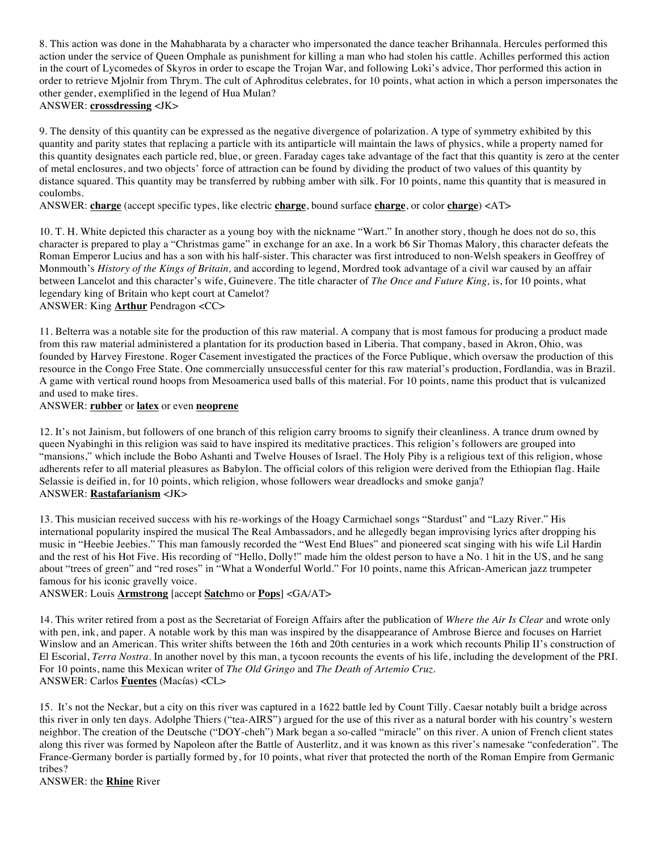8. This action was done in the Mahabharata by a character who impersonated the dance teacher Brihannala. Hercules performed this action under the service of Queen Omphale as punishment for killing a man who had stolen his cattle. Achilles performed this action in the court of Lycomedes of Skyros in order to escape the Trojan War, and following Loki's advice, Thor performed this action in order to retrieve Mjolnir from Thrym. The cult of Aphroditus celebrates, for 10 points, what action in which a person impersonates the other gender, exemplified in the legend of Hua Mulan? ANSWER: **crossdressing** <JK>

9. The density of this quantity can be expressed as the negative divergence of polarization. A type of symmetry exhibited by this quantity and parity states that replacing a particle with its antiparticle will maintain the laws of physics, while a property named for this quantity designates each particle red, blue, or green. Faraday cages take advantage of the fact that this quantity is zero at the center of metal enclosures, and two objects' force of attraction can be found by dividing the product of two values of this quantity by distance squared. This quantity may be transferred by rubbing amber with silk. For 10 points, name this quantity that is measured in coulombs.

ANSWER: **charge** (accept specific types, like electric **charge**, bound surface **charge**, or color **charge**) <AT>

10. T. H. White depicted this character as a young boy with the nickname "Wart." In another story, though he does not do so, this character is prepared to play a "Christmas game" in exchange for an axe. In a work b6 Sir Thomas Malory, this character defeats the Roman Emperor Lucius and has a son with his half-sister. This character was first introduced to non-Welsh speakers in Geoffrey of Monmouth's *History of the Kings of Britain,* and according to legend, Mordred took advantage of a civil war caused by an affair between Lancelot and this character's wife, Guinevere. The title character of *The Once and Future King,* is, for 10 points, what legendary king of Britain who kept court at Camelot?

ANSWER: King **Arthur** Pendragon <CC>

11. Belterra was a notable site for the production of this raw material. A company that is most famous for producing a product made from this raw material administered a plantation for its production based in Liberia. That company, based in Akron, Ohio, was founded by Harvey Firestone. Roger Casement investigated the practices of the Force Publique, which oversaw the production of this resource in the Congo Free State. One commercially unsuccessful center for this raw material's production, Fordlandia, was in Brazil. A game with vertical round hoops from Mesoamerica used balls of this material. For 10 points, name this product that is vulcanized and used to make tires.

ANSWER: **rubber** or **latex** or even **neoprene**

12. It's not Jainism, but followers of one branch of this religion carry brooms to signify their cleanliness. A trance drum owned by queen Nyabinghi in this religion was said to have inspired its meditative practices. This religion's followers are grouped into "mansions," which include the Bobo Ashanti and Twelve Houses of Israel. The Holy Piby is a religious text of this religion, whose adherents refer to all material pleasures as Babylon. The official colors of this religion were derived from the Ethiopian flag. Haile Selassie is deified in, for 10 points, which religion, whose followers wear dreadlocks and smoke ganja? ANSWER: **Rastafarianism** <JK>

13. This musician received success with his re-workings of the Hoagy Carmichael songs "Stardust" and "Lazy River." His international popularity inspired the musical The Real Ambassadors, and he allegedly began improvising lyrics after dropping his music in "Heebie Jeebies." This man famously recorded the "West End Blues" and pioneered scat singing with his wife Lil Hardin and the rest of his Hot Five. His recording of "Hello, Dolly!" made him the oldest person to have a No. 1 hit in the US, and he sang about "trees of green" and "red roses" in "What a Wonderful World." For 10 points, name this African-American jazz trumpeter famous for his iconic gravelly voice.

ANSWER: Louis **Armstrong** [accept **Satch**mo or **Pops**] <GA/AT>

14. This writer retired from a post as the Secretariat of Foreign Affairs after the publication of *Where the Air Is Clear* and wrote only with pen, ink, and paper. A notable work by this man was inspired by the disappearance of Ambrose Bierce and focuses on Harriet Winslow and an American. This writer shifts between the 16th and 20th centuries in a work which recounts Philip II's construction of El Escorial, *Terra Nostra*. In another novel by this man, a tycoon recounts the events of his life, including the development of the PRI. For 10 points, name this Mexican writer of *The Old Gringo* and *The Death of Artemio Cruz*. ANSWER: Carlos **Fuentes** (Macías) <CL>

15. It's not the Neckar, but a city on this river was captured in a 1622 battle led by Count Tilly. Caesar notably built a bridge across this river in only ten days. Adolphe Thiers ("tea-AIRS") argued for the use of this river as a natural border with his country's western neighbor. The creation of the Deutsche ("DOY-cheh") Mark began a so-called "miracle" on this river. A union of French client states along this river was formed by Napoleon after the Battle of Austerlitz, and it was known as this river's namesake "confederation". The France-Germany border is partially formed by, for 10 points, what river that protected the north of the Roman Empire from Germanic tribes?

ANSWER: the **Rhine** River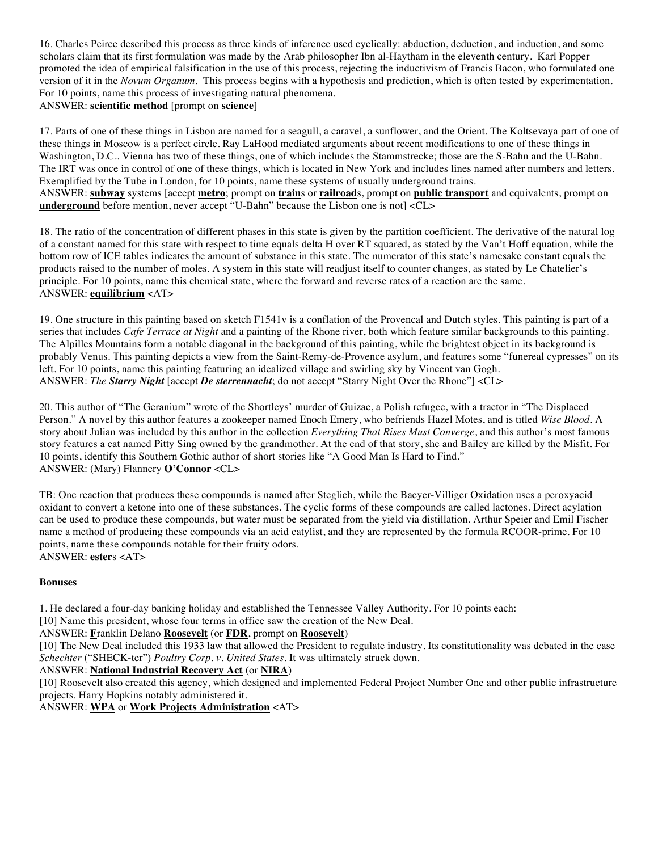16. Charles Peirce described this process as three kinds of inference used cyclically: abduction, deduction, and induction, and some scholars claim that its first formulation was made by the Arab philosopher Ibn al-Haytham in the eleventh century. Karl Popper promoted the idea of empirical falsification in the use of this process, rejecting the inductivism of Francis Bacon, who formulated one version of it in the *Novum Organum.* This process begins with a hypothesis and prediction, which is often tested by experimentation. For 10 points, name this process of investigating natural phenomena.

# ANSWER: **scientific method** [prompt on **science**]

17. Parts of one of these things in Lisbon are named for a seagull, a caravel, a sunflower, and the Orient. The Koltsevaya part of one of these things in Moscow is a perfect circle. Ray LaHood mediated arguments about recent modifications to one of these things in Washington, D.C.. Vienna has two of these things, one of which includes the Stammstrecke; those are the S-Bahn and the U-Bahn. The IRT was once in control of one of these things, which is located in New York and includes lines named after numbers and letters. Exemplified by the Tube in London, for 10 points, name these systems of usually underground trains. ANSWER: **subway** systems [accept **metro**; prompt on **train**s or **railroad**s, prompt on **public transport** and equivalents, prompt on **underground** before mention, never accept "U-Bahn" because the Lisbon one is not  $|<$ CL>

18. The ratio of the concentration of different phases in this state is given by the partition coefficient. The derivative of the natural log of a constant named for this state with respect to time equals delta H over RT squared, as stated by the Van't Hoff equation, while the bottom row of ICE tables indicates the amount of substance in this state. The numerator of this state's namesake constant equals the products raised to the number of moles. A system in this state will readjust itself to counter changes, as stated by Le Chatelier's principle. For 10 points, name this chemical state, where the forward and reverse rates of a reaction are the same. ANSWER: **equilibrium** <AT>

19. One structure in this painting based on sketch F1541v is a conflation of the Provencal and Dutch styles. This painting is part of a series that includes *Cafe Terrace at Night* and a painting of the Rhone river, both which feature similar backgrounds to this painting. The Alpilles Mountains form a notable diagonal in the background of this painting, while the brightest object in its background is probably Venus. This painting depicts a view from the Saint-Remy-de-Provence asylum, and features some "funereal cypresses" on its left. For 10 points, name this painting featuring an idealized village and swirling sky by Vincent van Gogh. ANSWER: *The Starry Night* [accept *De sterrennacht*; do not accept "Starry Night Over the Rhone"] <CL>

20. This author of "The Geranium" wrote of the Shortleys' murder of Guizac, a Polish refugee, with a tractor in "The Displaced Person." A novel by this author features a zookeeper named Enoch Emery, who befriends Hazel Motes, and is titled *Wise Blood*. A story about Julian was included by this author in the collection *Everything That Rises Must Converge*, and this author's most famous story features a cat named Pitty Sing owned by the grandmother. At the end of that story, she and Bailey are killed by the Misfit. For 10 points, identify this Southern Gothic author of short stories like "A Good Man Is Hard to Find." ANSWER: (Mary) Flannery **O'Connor** <CL>

TB: One reaction that produces these compounds is named after Steglich, while the Baeyer-Villiger Oxidation uses a peroxyacid oxidant to convert a ketone into one of these substances. The cyclic forms of these compounds are called lactones. Direct acylation can be used to produce these compounds, but water must be separated from the yield via distillation. Arthur Speier and Emil Fischer name a method of producing these compounds via an acid catylist, and they are represented by the formula RCOOR-prime. For 10 points, name these compounds notable for their fruity odors. ANSWER: **ester**s <AT>

### **Bonuses**

1. He declared a four-day banking holiday and established the Tennessee Valley Authority. For 10 points each:

[10] Name this president, whose four terms in office saw the creation of the New Deal.

ANSWER: **F**ranklin Delano **Roosevelt** (or **FDR**, prompt on **Roosevelt**)

[10] The New Deal included this 1933 law that allowed the President to regulate industry. Its constitutionality was debated in the case *Schechter* ("SHECK-ter") *Poultry Corp. v. United States*. It was ultimately struck down.

### ANSWER: **National Industrial Recovery Act** (or **NIRA**)

[10] Roosevelt also created this agency, which designed and implemented Federal Project Number One and other public infrastructure projects. Harry Hopkins notably administered it.

ANSWER: **WPA** or **Work Projects Administration** <AT>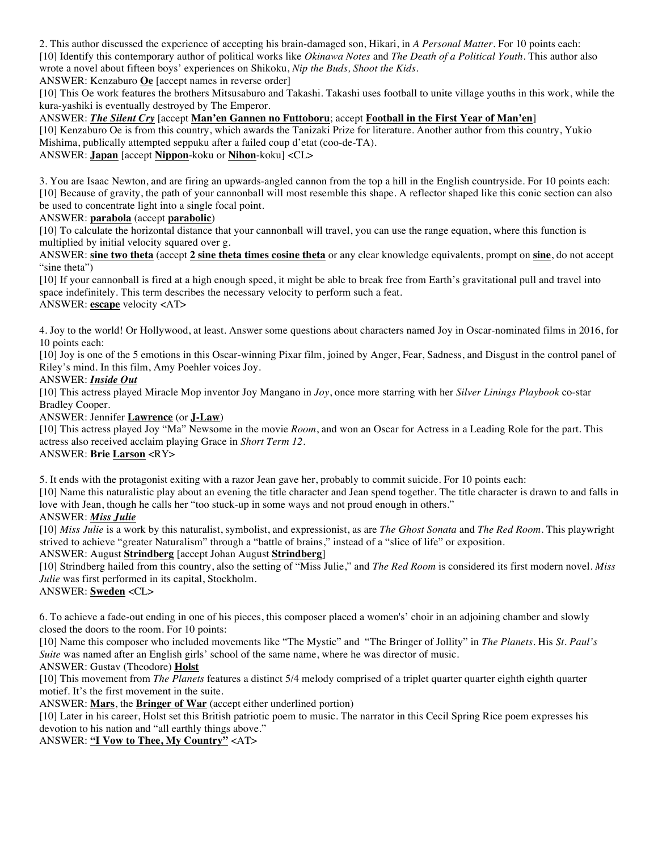2. This author discussed the experience of accepting his brain-damaged son, Hikari, in *A Personal Matter*. For 10 points each: [10] Identify this contemporary author of political works like *Okinawa Notes* and *The Death of a Political Youth*. This author also wrote a novel about fifteen boys' experiences on Shikoku, *Nip the Buds, Shoot the Kids.*

ANSWER: Kenzaburo **Oe** [accept names in reverse order]

[10] This Oe work features the brothers Mitsusaburo and Takashi. Takashi uses football to unite village youths in this work, while the kura-yashiki is eventually destroyed by The Emperor.

# ANSWER: *The Silent Cry* [accept **Man'en Gannen no Futtoboru**; accept **Football in the First Year of Man'en**]

[10] Kenzaburo Oe is from this country, which awards the Tanizaki Prize for literature. Another author from this country, Yukio Mishima, publically attempted seppuku after a failed coup d'etat (coo-de-TA).

## ANSWER: **Japan** [accept **Nippon**-koku or **Nihon**-koku] <CL>

3. You are Isaac Newton, and are firing an upwards-angled cannon from the top a hill in the English countryside. For 10 points each: [10] Because of gravity, the path of your cannonball will most resemble this shape. A reflector shaped like this conic section can also be used to concentrate light into a single focal point.

### ANSWER: **parabola** (accept **parabolic**)

[10] To calculate the horizontal distance that your cannonball will travel, you can use the range equation, where this function is multiplied by initial velocity squared over g.

ANSWER: **sine two theta** (accept **2 sine theta times cosine theta** or any clear knowledge equivalents, prompt on **sine**, do not accept "sine theta")

[10] If your cannonball is fired at a high enough speed, it might be able to break free from Earth's gravitational pull and travel into space indefinitely. This term describes the necessary velocity to perform such a feat. ANSWER: **escape** velocity <AT>

4. Joy to the world! Or Hollywood, at least. Answer some questions about characters named Joy in Oscar-nominated films in 2016, for 10 points each:

[10] Joy is one of the 5 emotions in this Oscar-winning Pixar film, joined by Anger, Fear, Sadness, and Disgust in the control panel of Riley's mind. In this film, Amy Poehler voices Joy.

### ANSWER: *Inside Out*

[10] This actress played Miracle Mop inventor Joy Mangano in *Joy*, once more starring with her *Silver Linings Playbook* co-star Bradley Cooper.

### ANSWER: Jennifer **Lawrence** (or **J-Law**)

[10] This actress played Joy "Ma" Newsome in the movie *Room*, and won an Oscar for Actress in a Leading Role for the part. This actress also received acclaim playing Grace in *Short Term 12.*

# ANSWER: **Brie Larson** <RY>

5. It ends with the protagonist exiting with a razor Jean gave her, probably to commit suicide. For 10 points each:

[10] Name this naturalistic play about an evening the title character and Jean spend together. The title character is drawn to and falls in love with Jean, though he calls her "too stuck-up in some ways and not proud enough in others."

### ANSWER: *Miss Julie*

[10] *Miss Julie* is a work by this naturalist, symbolist, and expressionist, as are *The Ghost Sonata* and *The Red Room*. This playwright strived to achieve "greater Naturalism" through a "battle of brains," instead of a "slice of life" or exposition.

### ANSWER: August **Strindberg** [accept Johan August **Strindberg**]

[10] Strindberg hailed from this country, also the setting of "Miss Julie," and *The Red Room* is considered its first modern novel. *Miss Julie* was first performed in its capital, Stockholm.

# ANSWER: **Sweden** <CL>

6. To achieve a fade-out ending in one of his pieces, this composer placed a women's' choir in an adjoining chamber and slowly closed the doors to the room. For 10 points:

[10] Name this composer who included movements like "The Mystic" and "The Bringer of Jollity" in *The Planets*. His *St. Paul's Suite* was named after an English girls' school of the same name, where he was director of music.

### ANSWER: Gustav (Theodore) **Holst**

[10] This movement from *The Planets* features a distinct 5/4 melody comprised of a triplet quarter quarter eighth eighth quarter motief. It's the first movement in the suite.

ANSWER: **Mars**, the **Bringer of War** (accept either underlined portion)

[10] Later in his career, Holst set this British patriotic poem to music. The narrator in this Cecil Spring Rice poem expresses his devotion to his nation and "all earthly things above."

### ANSWER: **"I Vow to Thee, My Country"** <AT>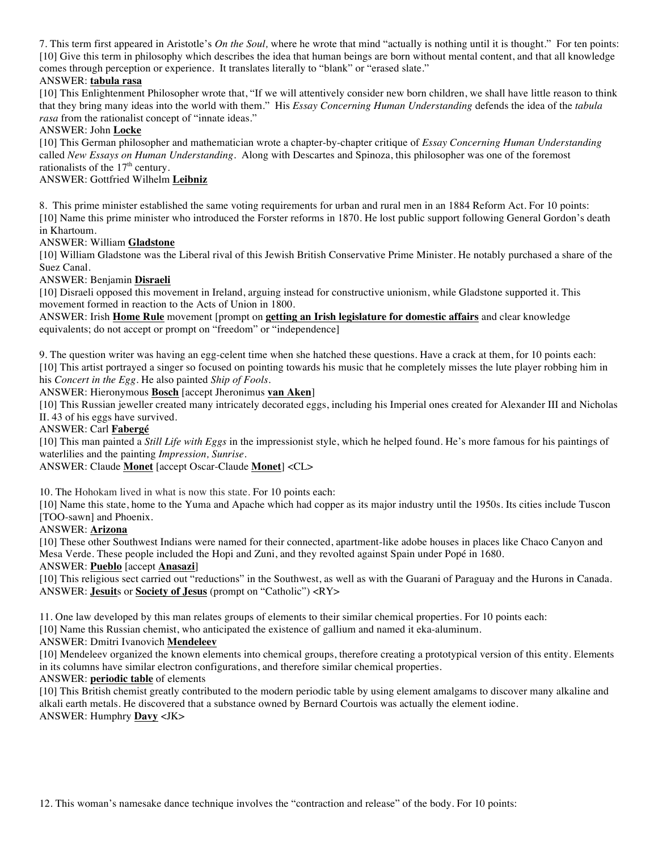7. This term first appeared in Aristotle's *On the Soul,* where he wrote that mind "actually is nothing until it is thought." For ten points: [10] Give this term in philosophy which describes the idea that human beings are born without mental content, and that all knowledge comes through perception or experience. It translates literally to "blank" or "erased slate."

## ANSWER: **tabula rasa**

[10] This Enlightenment Philosopher wrote that, "If we will attentively consider new born children, we shall have little reason to think that they bring many ideas into the world with them." His *Essay Concerning Human Understanding* defends the idea of the *tabula rasa* from the rationalist concept of "innate ideas."

### ANSWER: John **Locke**

[10] This German philosopher and mathematician wrote a chapter-by-chapter critique of *Essay Concerning Human Understanding*  called *New Essays on Human Understanding.* Along with Descartes and Spinoza, this philosopher was one of the foremost rationalists of the  $17<sup>th</sup>$  century.

### ANSWER: Gottfried Wilhelm **Leibniz**

8. This prime minister established the same voting requirements for urban and rural men in an 1884 Reform Act. For 10 points: [10] Name this prime minister who introduced the Forster reforms in 1870. He lost public support following General Gordon's death in Khartoum.

### ANSWER: William **Gladstone**

[10] William Gladstone was the Liberal rival of this Jewish British Conservative Prime Minister. He notably purchased a share of the Suez Canal.

#### ANSWER: Benjamin **Disraeli**

[10] Disraeli opposed this movement in Ireland, arguing instead for constructive unionism, while Gladstone supported it. This movement formed in reaction to the Acts of Union in 1800.

ANSWER: Irish **Home Rule** movement [prompt on **getting an Irish legislature for domestic affairs** and clear knowledge equivalents; do not accept or prompt on "freedom" or "independence]

9. The question writer was having an egg-celent time when she hatched these questions. Have a crack at them, for 10 points each: [10] This artist portrayed a singer so focused on pointing towards his music that he completely misses the lute player robbing him in his *Concert in the Egg*. He also painted *Ship of Fools*.

ANSWER: Hieronymous **Bosch** [accept Jheronimus **van Aken**]

[10] This Russian jeweller created many intricately decorated eggs, including his Imperial ones created for Alexander III and Nicholas II. 43 of his eggs have survived.

#### ANSWER: Carl **Fabergé**

[10] This man painted a *Still Life with Eggs* in the impressionist style, which he helped found. He's more famous for his paintings of waterlilies and the painting *Impression, Sunrise*.

#### ANSWER: Claude **Monet** [accept Oscar-Claude **Monet**] <CL>

10. The Hohokam lived in what is now this state. For 10 points each:

[10] Name this state, home to the Yuma and Apache which had copper as its major industry until the 1950s. Its cities include Tuscon [TOO-sawn] and Phoenix.

### ANSWER: **Arizona**

[10] These other Southwest Indians were named for their connected, apartment-like adobe houses in places like Chaco Canyon and Mesa Verde. These people included the Hopi and Zuni, and they revolted against Spain under Popé in 1680.

ANSWER: **Pueblo** [accept **Anasazi**]

[10] This religious sect carried out "reductions" in the Southwest, as well as with the Guarani of Paraguay and the Hurons in Canada. ANSWER: **Jesuit**s or **Society of Jesus** (prompt on "Catholic") <RY>

11. One law developed by this man relates groups of elements to their similar chemical properties. For 10 points each:

[10] Name this Russian chemist, who anticipated the existence of gallium and named it eka-aluminum.

#### ANSWER: Dmitri Ivanovich **Mendeleev**

[10] Mendeleev organized the known elements into chemical groups, therefore creating a prototypical version of this entity. Elements in its columns have similar electron configurations, and therefore similar chemical properties.

#### ANSWER: **periodic table** of elements

[10] This British chemist greatly contributed to the modern periodic table by using element amalgams to discover many alkaline and alkali earth metals. He discovered that a substance owned by Bernard Courtois was actually the element iodine. ANSWER: Humphry **Davy** <JK>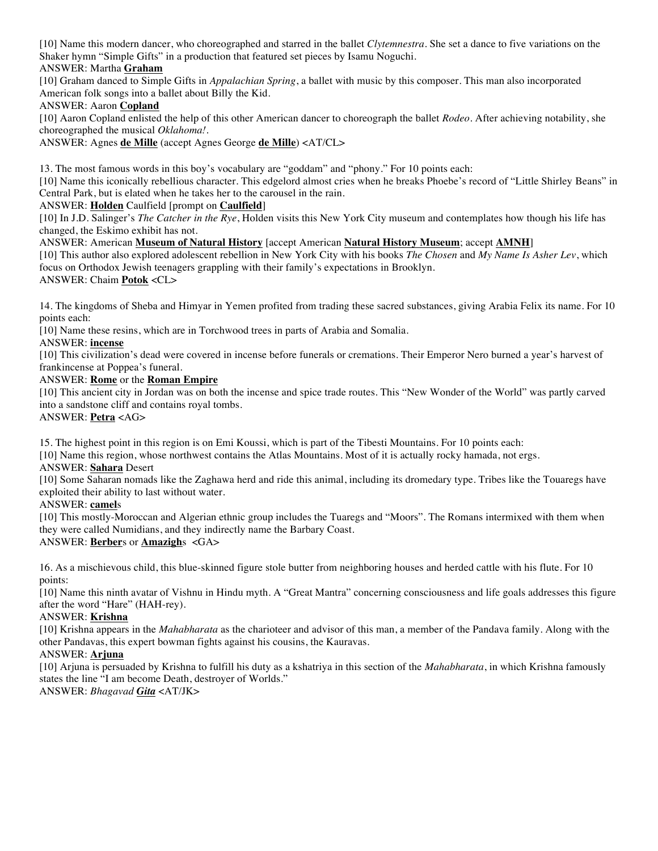[10] Name this modern dancer, who choreographed and starred in the ballet *Clytemnestra*. She set a dance to five variations on the Shaker hymn "Simple Gifts" in a production that featured set pieces by Isamu Noguchi.

ANSWER: Martha **Graham**

[10] Graham danced to Simple Gifts in *Appalachian Spring*, a ballet with music by this composer. This man also incorporated American folk songs into a ballet about Billy the Kid.

ANSWER: Aaron **Copland**

[10] Aaron Copland enlisted the help of this other American dancer to choreograph the ballet *Rodeo*. After achieving notability, she choreographed the musical *Oklahoma!*.

ANSWER: Agnes **de Mille** (accept Agnes George **de Mille**) <AT/CL>

13. The most famous words in this boy's vocabulary are "goddam" and "phony." For 10 points each:

[10] Name this iconically rebellious character. This edgelord almost cries when he breaks Phoebe's record of "Little Shirley Beans" in Central Park, but is elated when he takes her to the carousel in the rain.

ANSWER: **Holden** Caulfield [prompt on **Caulfield**]

[10] In J.D. Salinger's *The Catcher in the Rye*, Holden visits this New York City museum and contemplates how though his life has changed, the Eskimo exhibit has not.

ANSWER: American **Museum of Natural History** [accept American **Natural History Museum**; accept **AMNH**] [10] This author also explored adolescent rebellion in New York City with his books *The Chosen* and *My Name Is Asher Lev*, which focus on Orthodox Jewish teenagers grappling with their family's expectations in Brooklyn.

ANSWER: Chaim **Potok** <CL>

14. The kingdoms of Sheba and Himyar in Yemen profited from trading these sacred substances, giving Arabia Felix its name. For 10 points each:

[10] Name these resins, which are in Torchwood trees in parts of Arabia and Somalia.

ANSWER: **incense**

[10] This civilization's dead were covered in incense before funerals or cremations. Their Emperor Nero burned a year's harvest of frankincense at Poppea's funeral.

### ANSWER: **Rome** or the **Roman Empire**

[10] This ancient city in Jordan was on both the incense and spice trade routes. This "New Wonder of the World" was partly carved into a sandstone cliff and contains royal tombs.

ANSWER: **Petra** <AG>

15. The highest point in this region is on Emi Koussi, which is part of the Tibesti Mountains. For 10 points each:

[10] Name this region, whose northwest contains the Atlas Mountains. Most of it is actually rocky hamada, not ergs.

### ANSWER: **Sahara** Desert

[10] Some Saharan nomads like the Zaghawa herd and ride this animal, including its dromedary type. Tribes like the Touaregs have exploited their ability to last without water.

ANSWER: **camel**s

[10] This mostly-Moroccan and Algerian ethnic group includes the Tuaregs and "Moors". The Romans intermixed with them when they were called Numidians, and they indirectly name the Barbary Coast.

### ANSWER: **Berber**s or **Amazigh**s <GA>

16. As a mischievous child, this blue-skinned figure stole butter from neighboring houses and herded cattle with his flute. For 10 points:

[10] Name this ninth avatar of Vishnu in Hindu myth. A "Great Mantra" concerning consciousness and life goals addresses this figure after the word "Hare" (HAH-rey).

### ANSWER: **Krishna**

[10] Krishna appears in the *Mahabharata* as the charioteer and advisor of this man, a member of the Pandava family. Along with the other Pandavas, this expert bowman fights against his cousins, the Kauravas.

### ANSWER: **Arjuna**

[10] Arjuna is persuaded by Krishna to fulfill his duty as a kshatriya in this section of the *Mahabharata*, in which Krishna famously states the line "I am become Death, destroyer of Worlds."

ANSWER: *Bhagavad Gita* <AT/JK>